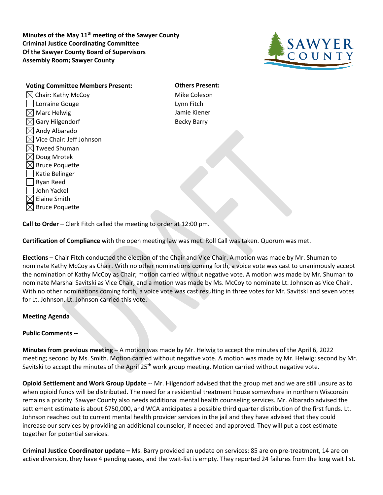**Minutes of the May 11th meeting of the Sawyer County Criminal Justice Coordinating Committee Of the Sawyer County Board of Supervisors Assembly Room; Sawyer County**



**Voting Committee Members Present: Others Present:**  $\boxtimes$  Chair: Kathy McCoy  $\blacksquare$  Mike Coleson Lorraine Gouge **Lynn** Fitch  $\boxtimes$  Marc Helwig  $\blacksquare$  Jamie Kiener  $\boxtimes$  Gary Hilgendorf  $\boxtimes$  Becky Barry  $\boxtimes$  Andy Albarado  $\boxtimes$  Vice Chair: Jeff Johnson  $\boxtimes$  Tweed Shuman  $\boxtimes$  Doug Mrotek  $\boxtimes$  Bruce Poquette Katie Belinger Ryan Reed John Yackel  $\boxtimes$  Elaine Smith  $\boxtimes$  Bruce Poquette

**Call to Order –** Clerk Fitch called the meeting to order at 12:00 pm.

**Certification of Compliance** with the open meeting law was met. Roll Call was taken. Quorum was met.

**Elections** – Chair Fitch conducted the election of the Chair and Vice Chair. A motion was made by Mr. Shuman to nominate Kathy McCoy as Chair. With no other nominations coming forth, a voice vote was cast to unanimously accept the nomination of Kathy McCoy as Chair; motion carried without negative vote. A motion was made by Mr. Shuman to nominate Marshal Savitski as Vice Chair, and a motion was made by Ms. McCoy to nominate Lt. Johnson as Vice Chair. With no other nominations coming forth, a voice vote was cast resulting in three votes for Mr. Savitski and seven votes for Lt. Johnson. Lt. Johnson carried this vote.

## **Meeting Agenda**

## **Public Comments --**

**Minutes from previous meeting –** A motion was made by Mr. Helwig to accept the minutes of the April 6, 2022 meeting; second by Ms. Smith. Motion carried without negative vote. A motion was made by Mr. Helwig; second by Mr. Savitski to accept the minutes of the April  $25<sup>th</sup>$  work group meeting. Motion carried without negative vote.

**Opioid Settlement and Work Group Update** -- Mr. Hilgendorf advised that the group met and we are still unsure as to when opioid funds will be distributed. The need for a residential treatment house somewhere in northern Wisconsin remains a priority. Sawyer County also needs additional mental health counseling services. Mr. Albarado advised the settlement estimate is about \$750,000, and WCA anticipates a possible third quarter distribution of the first funds. Lt. Johnson reached out to current mental health provider services in the jail and they have advised that they could increase our services by providing an additional counselor, if needed and approved. They will put a cost estimate together for potential services.

**Criminal Justice Coordinator update –** Ms. Barry provided an update on services: 85 are on pre-treatment, 14 are on active diversion, they have 4 pending cases, and the wait-list is empty. They reported 24 failures from the long wait list.